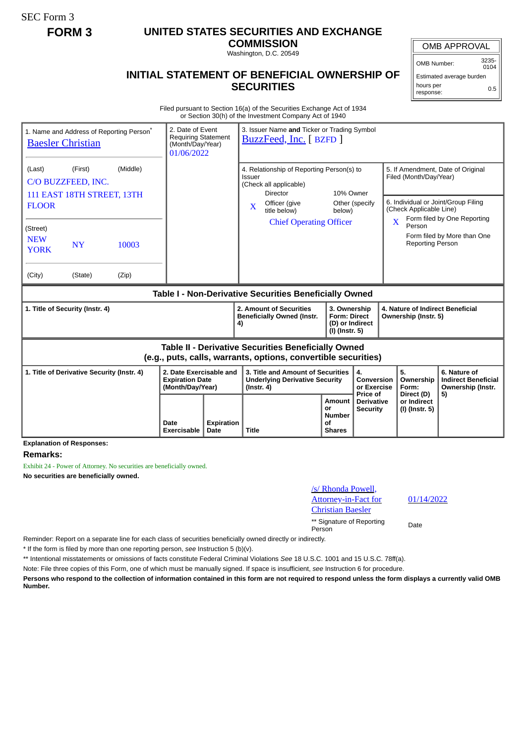SEC Form 3

## **FORM 3 UNITED STATES SECURITIES AND EXCHANGE**

**COMMISSION** Washington, D.C. 20549

## **INITIAL STATEMENT OF BENEFICIAL OWNERSHIP OF SECURITIES**

OMB APPROVAL

OMB Number: 3235-  $0104$ 

Estimated average burden hours per response: 0.5

Filed pursuant to Section 16(a) of the Securities Exchange Act of 1934 or Section 30(h) of the Investment Company Act of 1940

| 1. Name and Address of Reporting Person <sup>®</sup><br><b>Baesler Christian</b>                                             | 01/06/2022     | 3. Issuer Name and Ticker or Trading Symbol<br>2. Date of Event<br><b>Requiring Statement</b><br>BuzzFeed, Inc. [ BZFD ]<br>(Month/Day/Year) |                                                                                                                                   |                                                                                                                                                |                                                                                                |                                               |                                                                                                                               |                               |                                        |                                                                 |
|------------------------------------------------------------------------------------------------------------------------------|----------------|----------------------------------------------------------------------------------------------------------------------------------------------|-----------------------------------------------------------------------------------------------------------------------------------|------------------------------------------------------------------------------------------------------------------------------------------------|------------------------------------------------------------------------------------------------|-----------------------------------------------|-------------------------------------------------------------------------------------------------------------------------------|-------------------------------|----------------------------------------|-----------------------------------------------------------------|
| (Last)<br>(First)<br>C/O BUZZFEED, INC.<br>111 EAST 18TH STREET, 13TH<br><b>FLOOR</b>                                        |                |                                                                                                                                              | 4. Relationship of Reporting Person(s) to<br>Issuer<br>(Check all applicable)<br><b>Director</b><br>Officer (give<br>$\mathbf{X}$ |                                                                                                                                                | 10% Owner<br>Other (specify                                                                    |                                               | 5. If Amendment, Date of Original<br>Filed (Month/Day/Year)<br>6. Individual or Joint/Group Filing<br>(Check Applicable Line) |                               |                                        |                                                                 |
| (Street)<br><b>NEW</b><br><b>NY</b><br><b>YORK</b><br>(City)<br>(State)                                                      | 10003<br>(Zip) |                                                                                                                                              |                                                                                                                                   |                                                                                                                                                | title below)<br><b>Chief Operating Officer</b>                                                 | below)                                        |                                                                                                                               | $\overline{\mathbf{X}}$       | Person<br><b>Reporting Person</b>      | Form filed by One Reporting<br>Form filed by More than One      |
| Table I - Non-Derivative Securities Beneficially Owned                                                                       |                |                                                                                                                                              |                                                                                                                                   |                                                                                                                                                |                                                                                                |                                               |                                                                                                                               |                               |                                        |                                                                 |
| 1. Title of Security (Instr. 4)                                                                                              |                |                                                                                                                                              |                                                                                                                                   | 2. Amount of Securities<br>3. Ownership<br><b>Beneficially Owned (Instr.</b><br><b>Form: Direct</b><br>(D) or Indirect<br>4)<br>(I) (Instr. 5) |                                                                                                |                                               | 4. Nature of Indirect Beneficial<br>Ownership (Instr. 5)                                                                      |                               |                                        |                                                                 |
| <b>Table II - Derivative Securities Beneficially Owned</b><br>(e.g., puts, calls, warrants, options, convertible securities) |                |                                                                                                                                              |                                                                                                                                   |                                                                                                                                                |                                                                                                |                                               |                                                                                                                               |                               |                                        |                                                                 |
| 1. Title of Derivative Security (Instr. 4)                                                                                   |                |                                                                                                                                              | 2. Date Exercisable and<br><b>Expiration Date</b><br>(Month/Day/Year)                                                             |                                                                                                                                                | 3. Title and Amount of Securities<br><b>Underlying Derivative Security</b><br>$($ lnstr. 4 $)$ |                                               | 4.<br>Conversion<br>or Exercise<br>Price of                                                                                   |                               | 5.<br>Ownership<br>Form:<br>Direct (D) | 6. Nature of<br><b>Indirect Beneficial</b><br>Ownership (Instr. |
|                                                                                                                              |                | Date<br>Exercisable                                                                                                                          | <b>Expiration</b><br>Date                                                                                                         | <b>Title</b>                                                                                                                                   |                                                                                                | Amount<br>or<br>Number<br>Οf<br><b>Shares</b> | <b>Derivative</b><br><b>Security</b>                                                                                          | or Indirect<br>(I) (Instr. 5) |                                        | 5)                                                              |

**Explanation of Responses:**

## **Remarks:**

Exhibit 24 - Power of Attorney. No securities are beneficially owned. **No securities are beneficially owned.**

| /s/ Rhonda Powell,   |  |
|----------------------|--|
| Attorney-in-Fact for |  |
| Christian Baesler    |  |

01/14/2022

\*\* Signature of Reporting Person Date

Reminder: Report on a separate line for each class of securities beneficially owned directly or indirectly.

\* If the form is filed by more than one reporting person, *see* Instruction 5 (b)(v).

\*\* Intentional misstatements or omissions of facts constitute Federal Criminal Violations *See* 18 U.S.C. 1001 and 15 U.S.C. 78ff(a).

Note: File three copies of this Form, one of which must be manually signed. If space is insufficient, *see* Instruction 6 for procedure.

**Persons who respond to the collection of information contained in this form are not required to respond unless the form displays a currently valid OMB Number.**